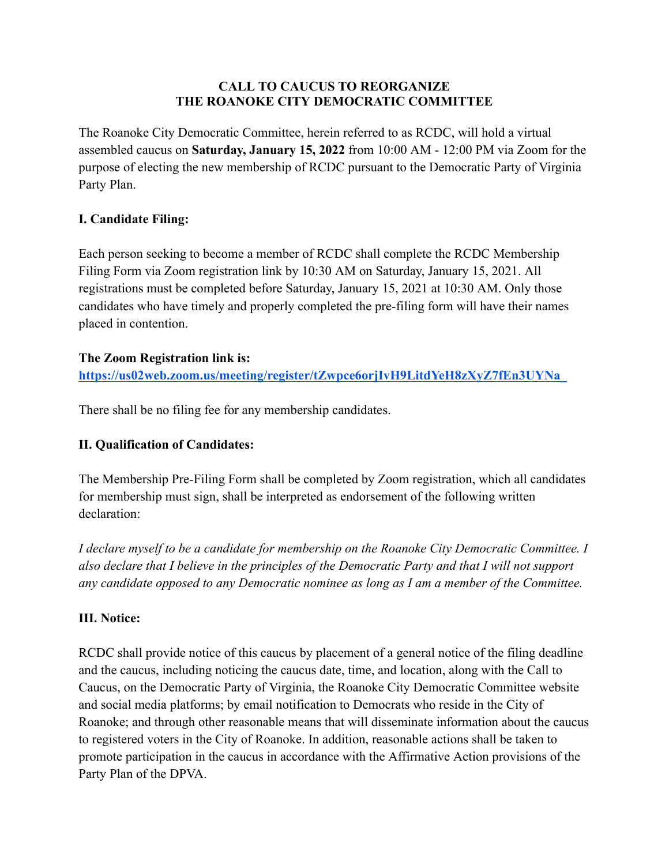## **CALL TO CAUCUS TO REORGANIZE THE ROANOKE CITY DEMOCRATIC COMMITTEE**

The Roanoke City Democratic Committee, herein referred to as RCDC, will hold a virtual assembled caucus on **Saturday, January 15, 2022** from 10:00 AM - 12:00 PM via Zoom for the purpose of electing the new membership of RCDC pursuant to the Democratic Party of Virginia Party Plan.

## **I. Candidate Filing:**

Each person seeking to become a member of RCDC shall complete the RCDC Membership Filing Form via Zoom registration link by 10:30 AM on Saturday, January 15, 2021. All registrations must be completed before Saturday, January 15, 2021 at 10:30 AM. Only those candidates who have timely and properly completed the pre-filing form will have their names placed in contention.

## **The Zoom Registration link is:**

**[https://us02web.zoom.us/meeting/register/tZwpce6orjIvH9LitdYeH8zXyZ7fEn3UYNa\\_](https://us02web.zoom.us/meeting/register/tZwpce6orjIvH9LitdYeH8zXyZ7fEn3UYNa_)**

There shall be no filing fee for any membership candidates.

# **II. Qualification of Candidates:**

The Membership Pre-Filing Form shall be completed by Zoom registration, which all candidates for membership must sign, shall be interpreted as endorsement of the following written declaration:

*I declare myself to be a candidate for membership on the Roanoke City Democratic Committee. I also declare that I believe in the principles of the Democratic Party and that I will not support any candidate opposed to any Democratic nominee as long as I am a member of the Committee.*

## **III. Notice:**

RCDC shall provide notice of this caucus by placement of a general notice of the filing deadline and the caucus, including noticing the caucus date, time, and location, along with the Call to Caucus, on the Democratic Party of Virginia, the Roanoke City Democratic Committee website and social media platforms; by email notification to Democrats who reside in the City of Roanoke; and through other reasonable means that will disseminate information about the caucus to registered voters in the City of Roanoke. In addition, reasonable actions shall be taken to promote participation in the caucus in accordance with the Affirmative Action provisions of the Party Plan of the DPVA.